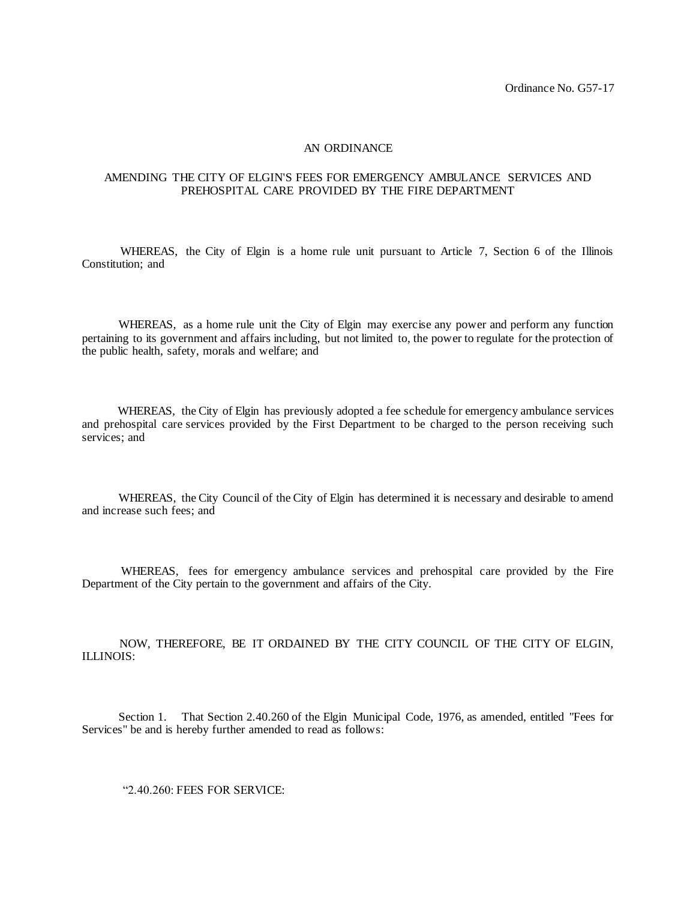## AN ORDINANCE

## AMENDING THE CITY OF ELGIN'S FEES FOR EMERGENCY AMBULANCE SERVICES AND PREHOSPITAL CARE PROVIDED BY THE FIRE DEPARTMENT

 WHEREAS, the City of Elgin is a home rule unit pursuant to Article 7, Section 6 of the Illinois Constitution; and

 WHEREAS, as a home rule unit the City of Elgin may exercise any power and perform any function pertaining to its government and affairs including, but not limited to, the power to regulate for the protection of the public health, safety, morals and welfare; and

 WHEREAS, the City of Elgin has previously adopted a fee schedule for emergency ambulance services and prehospital care services provided by the First Department to be charged to the person receiving such services; and

 WHEREAS, the City Council of the City of Elgin has determined it is necessary and desirable to amend and increase such fees; and

 WHEREAS, fees for emergency ambulance services and prehospital care provided by the Fire Department of the City pertain to the government and affairs of the City.

 NOW, THEREFORE, BE IT ORDAINED BY THE CITY COUNCIL OF THE CITY OF ELGIN, ILLINOIS:

 Section 1. That Section 2.40.260 of the Elgin Municipal Code, 1976, as amended, entitled "Fees for Services" be and is hereby further amended to read as follows:

"2.40.260: FEES FOR SERVICE: